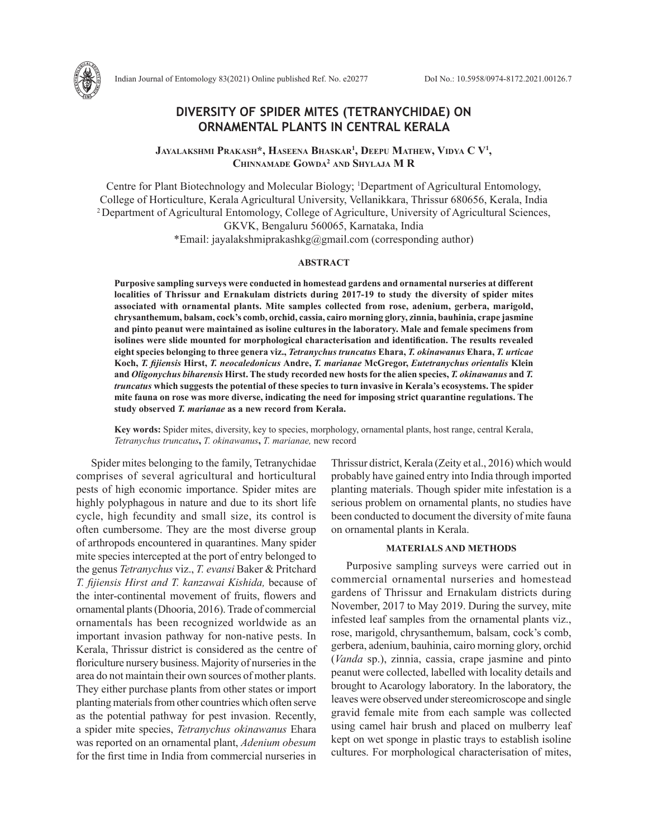# **DIVERSITY OF SPIDER MITES (TETRANYCHIDAE) ON ORNAMENTAL PLANTS IN CENTRAL KERALA**

**Jayalakshmi Prakash\*, Haseena Bhaskar1 , Deepu Mathew, Vidya C V1 , Chinnamade Gowda2 and Shylaja M R**

Centre for Plant Biotechnology and Molecular Biology; 1 Department of Agricultural Entomology, College of Horticulture, Kerala Agricultural University, Vellanikkara, Thrissur 680656, Kerala, India 2 Department of Agricultural Entomology, College of Agriculture, University of Agricultural Sciences, GKVK, Bengaluru 560065, Karnataka, India

\*Email: jayalakshmiprakashkg@gmail.com (corresponding author)

### **ABSTRACT**

**Purposive sampling surveys were conducted in homestead gardens and ornamental nurseries at different localities of Thrissur and Ernakulam districts during 2017-19 to study the diversity of spider mites associated with ornamental plants. Mite samples collected from rose, adenium, gerbera, marigold, chrysanthemum, balsam, cock's comb, orchid, cassia, cairo morning glory, zinnia, bauhinia, crape jasmine and pinto peanut were maintained as isoline cultures in the laboratory. Male and female specimens from isolines were slide mounted for morphological characterisation and identification. The results revealed eight species belonging to three genera viz.,** *Tetranychus truncatus* **Ehara,** *T. okinawanus* **Ehara,** *T. urticae* **Koch,** *T. fijiensis* **Hirst,** *T. neocaledonicus* **Andre,** *T. marianae* **McGregor,** *Eutetranychus orientalis* **Klein and** *Oligonychus biharensis* **Hirst. The study recorded new hosts for the alien species,** *T. okinawanus* **and** *T. truncatus* **which suggests the potential of these species to turn invasive in Kerala's ecosystems. The spider mite fauna on rose was more diverse, indicating the need for imposing strict quarantine regulations. The study observed** *T. marianae* **as a new record from Kerala.**

**Key words:** Spider mites, diversity, key to species, morphology, ornamental plants, host range, central Kerala, *Tetranychus truncatus***,** *T. okinawanus***,** *T. marianae,* new record

Spider mites belonging to the family, Tetranychidae comprises of several agricultural and horticultural pests of high economic importance. Spider mites are highly polyphagous in nature and due to its short life cycle, high fecundity and small size, its control is often cumbersome. They are the most diverse group of arthropods encountered in quarantines. Many spider mite species intercepted at the port of entry belonged to the genus *Tetranychus* viz., *T. evansi* Baker & Pritchard *T. fijiensis Hirst and T. kanzawai Kishida,* because of the inter-continental movement of fruits, flowers and ornamental plants (Dhooria, 2016). Trade of commercial ornamentals has been recognized worldwide as an important invasion pathway for non-native pests. In Kerala, Thrissur district is considered as the centre of floriculture nursery business. Majority of nurseries in the area do not maintain their own sources of mother plants. They either purchase plants from other states or import planting materials from other countries which often serve as the potential pathway for pest invasion. Recently, a spider mite species, *Tetranychus okinawanus* Ehara was reported on an ornamental plant, *Adenium obesum* for the first time in India from commercial nurseries in

Thrissur district, Kerala (Zeity et al., 2016) which would probably have gained entry into India through imported planting materials. Though spider mite infestation is a serious problem on ornamental plants, no studies have been conducted to document the diversity of mite fauna on ornamental plants in Kerala.

## **MATERIALS AND METHODS**

Purposive sampling surveys were carried out in commercial ornamental nurseries and homestead gardens of Thrissur and Ernakulam districts during November, 2017 to May 2019. During the survey, mite infested leaf samples from the ornamental plants viz., rose, marigold, chrysanthemum, balsam, cock's comb, gerbera, adenium, bauhinia, cairo morning glory, orchid (*Vanda* sp.), zinnia, cassia, crape jasmine and pinto peanut were collected, labelled with locality details and brought to Acarology laboratory. In the laboratory, the leaves were observed under stereomicroscope and single gravid female mite from each sample was collected using camel hair brush and placed on mulberry leaf kept on wet sponge in plastic trays to establish isoline cultures. For morphological characterisation of mites,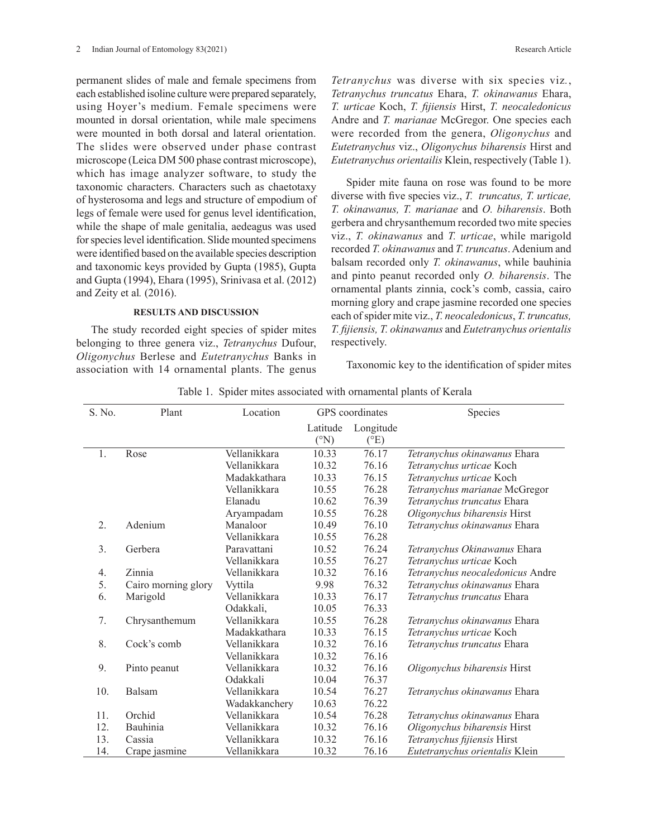permanent slides of male and female specimens from each established isoline culture were prepared separately, using Hoyer's medium. Female specimens were mounted in dorsal orientation, while male specimens were mounted in both dorsal and lateral orientation. The slides were observed under phase contrast microscope (Leica DM 500 phase contrast microscope), which has image analyzer software, to study the taxonomic characters. Characters such as chaetotaxy of hysterosoma and legs and structure of empodium of legs of female were used for genus level identification, while the shape of male genitalia, aedeagus was used for species level identification. Slide mounted specimens were identified based on the available species description and taxonomic keys provided by Gupta (1985), Gupta and Gupta (1994), Ehara (1995), Srinivasa et al. (2012) and Zeity et al*.* (2016).

#### **RESULTS AND DISCUSSION**

The study recorded eight species of spider mites belonging to three genera viz., *Tetranychus* Dufour, *Oligonychus* Berlese and *Eutetranychus* Banks in association with 14 ornamental plants. The genus

*Tetranychus* was diverse with six species viz*.*, *Tetranychus truncatus* Ehara, *T. okinawanus* Ehara, *T. urticae* Koch, *T. fijiensis* Hirst, *T. neocaledonicus*  Andre and *T. marianae* McGregor. One species each were recorded from the genera, *Oligonychus* and *Eutetranychus* viz., *Oligonychus biharensis* Hirst and *Eutetranychus orientailis* Klein, respectively (Table 1).

Spider mite fauna on rose was found to be more diverse with five species viz., *T. truncatus, T. urticae, T. okinawanus, T. marianae* and *O. biharensis*. Both gerbera and chrysanthemum recorded two mite species viz., *T. okinawanus* and *T. urticae*, while marigold recorded *T. okinawanus* and *T. truncatus*. Adenium and balsam recorded only *T. okinawanus*, while bauhinia and pinto peanut recorded only *O. biharensis*. The ornamental plants zinnia, cock's comb, cassia, cairo morning glory and crape jasmine recorded one species each of spider mite viz., *T. neocaledonicus*, *T. truncatus, T. fijiensis, T. okinawanus* and *Eutetranychus orientalis* respectively.

Taxonomic key to the identification of spider mites

| S. No. | Plant               | Location        | GPS coordinates  |                   | Species                               |
|--------|---------------------|-----------------|------------------|-------------------|---------------------------------------|
|        |                     |                 | Latitude<br>(°N) | Longitude<br>(°E) |                                       |
| 1.     | Rose                | Vellanikkara    | 10.33            | 76.17             | Tetranychus okinawanus Ehara          |
|        |                     | Vellanikkara    | 10.32            | 76.16             | Tetranychus urticae Koch              |
|        |                     | Madakkathara    | 10.33            | 76.15             | Tetranychus urticae Koch              |
|        |                     | Vellanikkara    | 10.55            | 76.28             | Tetranychus marianae McGregor         |
|        |                     | Elanadu         | 10.62            | 76.39             | Tetranychus truncatus Ehara           |
|        |                     | Aryampadam      | 10.55            | 76.28             | Oligonychus biharensis Hirst          |
| 2.     | Adenium             | Manaloor        | 10.49            | 76.10             | Tetranychus okinawanus Ehara          |
|        |                     | Vellanikkara    | 10.55            | 76.28             |                                       |
| 3.     | Gerbera             | Paravattani     | 10.52            | 76.24             | Tetranychus Okinawanus Ehara          |
|        |                     | Vellanikkara    | 10.55            | 76.27             | Tetranychus urticae Koch              |
| 4.     | Zinnia              | Vellanikkara    | 10.32            | 76.16             | Tetranychus neocaledonicus Andre      |
| 5.     | Cairo morning glory | <i>V</i> vttila | 9.98             | 76.32             | Tetranychus okinawanus Ehara          |
| 6.     | Marigold            | Vellanikkara    | 10.33            | 76.17             | <i>Tetranychus truncatus</i> Ehara    |
|        |                     | Odakkali,       | 10.05            | 76.33             |                                       |
| 7.     | Chrysanthemum       | Vellanikkara    | 10.55            | 76.28             | Tetranychus okinawanus Ehara          |
|        |                     | Madakkathara    | 10.33            | 76.15             | Tetranychus urticae Koch              |
| 8.     | Cock's comb         | Vellanikkara    | 10.32            | 76.16             | Tetranychus truncatus Ehara           |
|        |                     | Vellanikkara    | 10.32            | 76.16             |                                       |
| 9.     | Pinto peanut        | Vellanikkara    | 10.32            | 76.16             | Oligonychus biharensis Hirst          |
|        |                     | Odakkali        | 10.04            | 76.37             |                                       |
| 10.    | Balsam              | Vellanikkara    | 10.54            | 76.27             | Tetranychus okinawanus Ehara          |
|        |                     | Wadakkanchery   | 10.63            | 76.22             |                                       |
| 11.    | Orchid              | Vellanikkara    | 10.54            | 76.28             | Tetranychus okinawanus Ehara          |
| 12.    | Bauhinia            | Vellanikkara    | 10.32            | 76.16             | Oligonychus biharensis Hirst          |
| 13.    | Cassia              | Vellanikkara    | 10.32            | 76.16             | Tetranychus fijiensis Hirst           |
| 14.    | Crape jasmine       | Vellanikkara    | 10.32            | 76.16             | <i>Eutetranvchus orientalis</i> Klein |

Table 1. Spider mites associated with ornamental plants of Kerala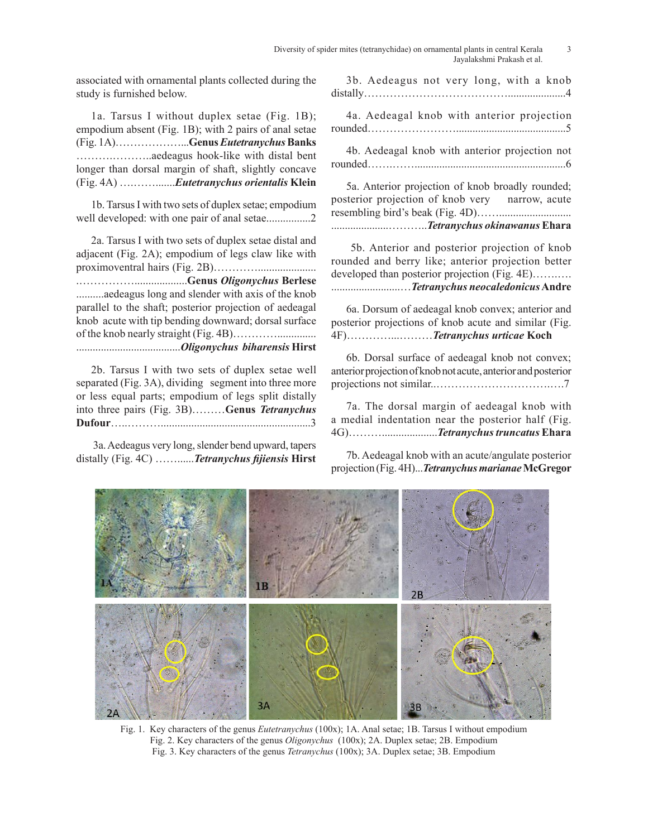associated with ornamental plants collected during the study is furnished below.

1a. Tarsus I without duplex setae (Fig. 1B); empodium absent (Fig. 1B); with 2 pairs of anal setae (Fig. 1A)………………...**Genus** *Eutetranychus* **Banks**  ……….………..aedeagus hook-like with distal bent longer than dorsal margin of shaft, slightly concave (Fig. 4A) ….…….......*Eutetranychus orientalis* **Klein** 

1b. Tarsus I with two sets of duplex setae; empodium well developed: with one pair of anal setae................2

2a. Tarsus I with two sets of duplex setae distal and adjacent (Fig. 2A); empodium of legs claw like with proximoventral hairs (Fig. 2B)…………..................... .……………...................**Genus** *Oligonychus* **Berlese** ..........aedeagus long and slender with axis of the knob parallel to the shaft; posterior projection of aedeagal knob acute with tip bending downward; dorsal surface of the knob nearly straight (Fig. 4B)………….............. ......................................*Oligonychus biharensis* **Hirst**

2b. Tarsus I with two sets of duplex setae well separated (Fig. 3A), dividing segment into three more or less equal parts; empodium of legs split distally into three pairs (Fig. 3B)………**Genus** *Tetranychus* **Dufour**…..………......................................................3

 3a. Aedeagus very long, slender bend upward, tapers distally (Fig. 4C) ……......*Tetranychus fijiensis* **Hirst**

3b. Aedeagus not very long, with a knob distally………………………………….....................4

4a. Aedeagal knob with anterior projection rounded……………………........................................5

4b. Aedeagal knob with anterior projection not rounded…….…….......................................................6

5a. Anterior projection of knob broadly rounded; posterior projection of knob very narrow, acute resembling bird's beak (Fig. 4D)…….......................... .....................………..*Tetranychus okinawanus* **Ehara**

 5b. Anterior and posterior projection of knob rounded and berry like; anterior projection better developed than posterior projection (Fig. 4E)…….…. .........................…*Tetranychus neocaledonicus* **Andre**

6a. Dorsum of aedeagal knob convex; anterior and posterior projections of knob acute and similar (Fig. 4F)…………...………*Tetranychus urticae* **Koch**

6b. Dorsal surface of aedeagal knob not convex; anterior projection of knob not acute, anterior and posterior projections not similar..………………………….….7

7a. The dorsal margin of aedeagal knob with a medial indentation near the posterior half (Fig. 4G)………....................*Tetranychus truncatus* **Ehara**

7b. Aedeagal knob with an acute/angulate posterior projection (Fig. 4H)...*Tetranychus marianae* **McGregor** 



Fig. 1. Key characters of the genus *Eutetranychus* (100x); 1A. Anal setae; 1B. Tarsus I without empodium Fig. 2. Key characters of the genus *Oligonychus* (100x); 2A. Duplex setae; 2B. Empodium Fig. 3. Key characters of the genus *Tetranychus* (100x); 3A. Duplex setae; 3B. Empodium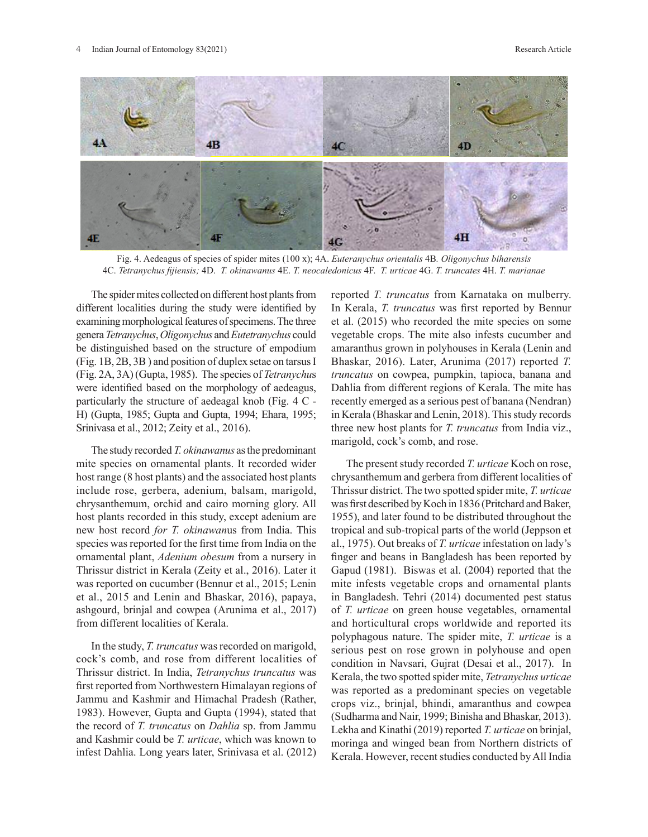

Fig. 4. Aedeagus of species of spider mites (100 x); 4A. *Euteranychus orientalis* 4B*. Oligonychus biharensis* 4C. *Tetranychus fijiensis;* 4D. *T. okinawanus* 4E. *T. neocaledonicus* 4F. *T. urticae* 4G. *T. truncates* 4H. *T. marianae*

The spider mites collected on different host plants from different localities during the study were identified by examining morphological features of specimens. The three genera *Tetranychus*, *Oligonychus* and *Eutetranychus* could be distinguished based on the structure of empodium (Fig. 1B, 2B, 3B ) and position of duplex setae on tarsus I (Fig. 2A, 3A) (Gupta, 1985). The species of *Tetranychu*s were identified based on the morphology of aedeagus, particularly the structure of aedeagal knob (Fig. 4 C - H) (Gupta, 1985; Gupta and Gupta, 1994; Ehara, 1995; Srinivasa et al., 2012; Zeity et al., 2016).

The study recorded *T. okinawanus* as the predominant mite species on ornamental plants. It recorded wider host range (8 host plants) and the associated host plants include rose, gerbera, adenium, balsam, marigold, chrysanthemum, orchid and cairo morning glory. All host plants recorded in this study, except adenium are new host record *for T. okinawan*us from India. This species was reported for the first time from India on the ornamental plant, *Adenium obesum* from a nursery in Thrissur district in Kerala (Zeity et al., 2016). Later it was reported on cucumber (Bennur et al., 2015; Lenin et al., 2015 and Lenin and Bhaskar, 2016), papaya, ashgourd, brinjal and cowpea (Arunima et al., 2017) from different localities of Kerala.

In the study, *T. truncatus* was recorded on marigold, cock's comb, and rose from different localities of Thrissur district. In India, *Tetranychus truncatus* was first reported from Northwestern Himalayan regions of Jammu and Kashmir and Himachal Pradesh (Rather, 1983). However, Gupta and Gupta (1994), stated that the record of *T. truncatus* on *Dahlia* sp. from Jammu and Kashmir could be *T. urticae*, which was known to infest Dahlia. Long years later, Srinivasa et al. (2012)

reported *T. truncatus* from Karnataka on mulberry. In Kerala, *T. truncatus* was first reported by Bennur et al. (2015) who recorded the mite species on some vegetable crops. The mite also infests cucumber and amaranthus grown in polyhouses in Kerala (Lenin and Bhaskar, 2016). Later, Arunima (2017) reported *T. truncatus* on cowpea, pumpkin, tapioca, banana and Dahlia from different regions of Kerala. The mite has recently emerged as a serious pest of banana (Nendran) in Kerala (Bhaskar and Lenin, 2018). This study records three new host plants for *T. truncatus* from India viz., marigold, cock's comb, and rose.

The present study recorded *T. urticae* Koch on rose, chrysanthemum and gerbera from different localities of Thrissur district. The two spotted spider mite, *T. urticae* was first described by Koch in 1836 (Pritchard and Baker, 1955), and later found to be distributed throughout the tropical and sub-tropical parts of the world (Jeppson et al., 1975). Out breaks of *T. urticae* infestation on lady's finger and beans in Bangladesh has been reported by Gapud (1981). Biswas et al. (2004) reported that the mite infests vegetable crops and ornamental plants in Bangladesh. Tehri (2014) documented pest status of *T. urticae* on green house vegetables, ornamental and horticultural crops worldwide and reported its polyphagous nature. The spider mite, *T. urticae* is a serious pest on rose grown in polyhouse and open condition in Navsari, Gujrat (Desai et al., 2017). In Kerala, the two spotted spider mite, *Tetranychus urticae* was reported as a predominant species on vegetable crops viz., brinjal, bhindi, amaranthus and cowpea (Sudharma and Nair, 1999; Binisha and Bhaskar, 2013). Lekha and Kinathi (2019) reported *T. urticae* on brinjal, moringa and winged bean from Northern districts of Kerala. However, recent studies conducted by All India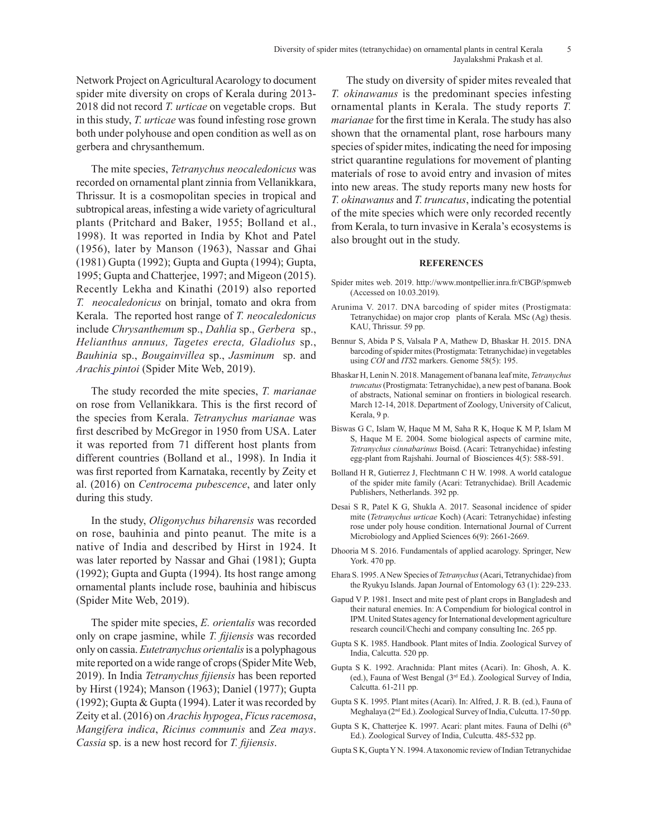Network Project on Agricultural Acarology to document spider mite diversity on crops of Kerala during 2013- 2018 did not record *T. urticae* on vegetable crops. But in this study, *T. urticae* was found infesting rose grown both under polyhouse and open condition as well as on gerbera and chrysanthemum.

The mite species, *Tetranychus neocaledonicus* was recorded on ornamental plant zinnia from Vellanikkara, Thrissur. It is a cosmopolitan species in tropical and subtropical areas, infesting a wide variety of agricultural plants (Pritchard and Baker, 1955; Bolland et al., 1998). It was reported in India by Khot and Patel (1956), later by Manson (1963), Nassar and Ghai (1981) Gupta (1992); Gupta and Gupta (1994); Gupta, 1995; Gupta and Chatterjee, 1997; and Migeon (2015). Recently Lekha and Kinathi (2019) also reported *T. neocaledonicus* on brinjal, tomato and okra from Kerala. The reported host range of *T. neocaledonicus* include *Chrysanthemum* sp., *Dahlia* sp., *Gerbera* sp., *Helianthus annuus, Tagetes erecta, Gladiolus* sp., *Bauhinia* sp., *Bougainvillea* sp., *Jasminum* sp. and *Arachis pintoi* (Spider Mite Web, 2019).

The study recorded the mite species, *T. marianae*  on rose from Vellanikkara. This is the first record of the species from Kerala. *Tetranychus marianae* was first described by McGregor in 1950 from USA. Later it was reported from 71 different host plants from different countries (Bolland et al., 1998). In India it was first reported from Karnataka, recently by Zeity et al. (2016) on *Centrocema pubescence*, and later only during this study.

In the study, *Oligonychus biharensis* was recorded on rose, bauhinia and pinto peanut*.* The mite is a native of India and described by Hirst in 1924. It was later reported by Nassar and Ghai (1981); Gupta (1992); Gupta and Gupta (1994). Its host range among ornamental plants include rose, bauhinia and hibiscus (Spider Mite Web, 2019).

The spider mite species, *E. orientalis* was recorded only on crape jasmine, while *T. fijiensis* was recorded only on cassia. *Eutetranychus orientalis* is a polyphagous mite reported on a wide range of crops (Spider Mite Web, 2019). In India *Tetranychus fijiensis* has been reported by Hirst (1924); Manson (1963); Daniel (1977); Gupta (1992); Gupta & Gupta (1994). Later it was recorded by Zeity et al. (2016) on *Arachis hypogea*, *Ficus racemosa*, *Mangifera indica*, *Ricinus communis* and *Zea mays*. *Cassia* sp. is a new host record for *T. fijiensis*.

The study on diversity of spider mites revealed that *T. okinawanus* is the predominant species infesting ornamental plants in Kerala. The study reports *T. marianae* for the first time in Kerala. The study has also shown that the ornamental plant, rose harbours many species of spider mites, indicating the need for imposing strict quarantine regulations for movement of planting materials of rose to avoid entry and invasion of mites into new areas. The study reports many new hosts for *T. okinawanus* and *T. truncatus*, indicating the potential of the mite species which were only recorded recently from Kerala, to turn invasive in Kerala's ecosystems is also brought out in the study.

#### **REFERENCES**

- Spider mites web. 2019. http://www.montpellier.inra.fr/CBGP/spmweb (Accessed on 10.03.2019).
- Arunima V. 2017. DNA barcoding of spider mites (Prostigmata: Tetranychidae) on major crop plants of Kerala*.* MSc (Ag) thesis. KAU, Thrissur. 59 pp.
- Bennur S, Abida P S, Valsala P A, Mathew D, Bhaskar H. 2015. DNA barcoding of spider mites (Prostigmata: Tetranychidae) in vegetables using *COI* and *ITS*2 markers. Genome 58(5): 195.
- Bhaskar H, Lenin N. 2018. Management of banana leaf mite, *Tetranychus truncatus* (Prostigmata: Tetranychidae), a new pest of banana. Book of abstracts, National seminar on frontiers in biological research. March 12-14, 2018. Department of Zoology, University of Calicut, Kerala, 9 p.
- Biswas G C, Islam W, Haque M M, Saha R K, Hoque K M P, Islam M S, Haque M E. 2004. Some biological aspects of carmine mite, *Tetranychus cinnabarinus* Boisd. (Acari: Tetranychidae) infesting egg-plant from Rajshahi. Journal of Biosciences 4(5): 588-591.
- Bolland H R, Gutierrez J, Flechtmann C H W. 1998. A world catalogue of the spider mite family (Acari: Tetranychidae). Brill Academic Publishers, Netherlands. 392 pp.
- Desai S R, Patel K G, Shukla A. 2017. Seasonal incidence of spider mite (*Tetranychus urticae* Koch) (Acari: Tetranychidae) infesting rose under poly house condition. International Journal of Current Microbiology and Applied Sciences 6(9): 2661-2669.
- Dhooria M S. 2016. Fundamentals of applied acarology. Springer, New York. 470 pp.
- Ehara S. 1995. A New Species of *Tetranychus* (Acari, Tetranychidae) from the Ryukyu Islands. Japan Journal of Entomology 63 (1): 229-233.
- Gapud V P. 1981. Insect and mite pest of plant crops in Bangladesh and their natural enemies. In: A Compendium for biological control in IPM. United States agency for International development agriculture research council/Chechi and company consulting Inc. 265 pp.
- Gupta S K. 1985. Handbook. Plant mites of India. Zoological Survey of India, Calcutta. 520 pp.
- Gupta S K. 1992. Arachnida: Plant mites (Acari). In: Ghosh, A. K. (ed.), Fauna of West Bengal (3rd Ed.). Zoological Survey of India, Calcutta. 61-211 pp.
- Gupta S K. 1995. Plant mites (Acari). In: Alfred, J. R. B. (ed.), Fauna of Meghalaya (2nd Ed.). Zoological Survey of India, Culcutta. 17-50 pp.
- Gupta S K, Chatterjee K. 1997. Acari: plant mites. Fauna of Delhi (6<sup>th</sup>) Ed.). Zoological Survey of India, Culcutta. 485-532 pp.
- Gupta S K, Gupta Y N. 1994. A taxonomic review of Indian Tetranychidae